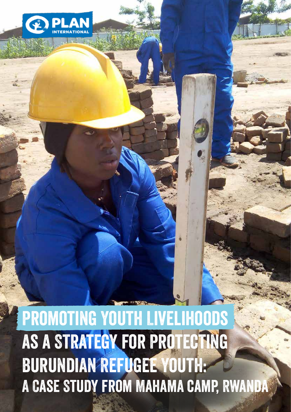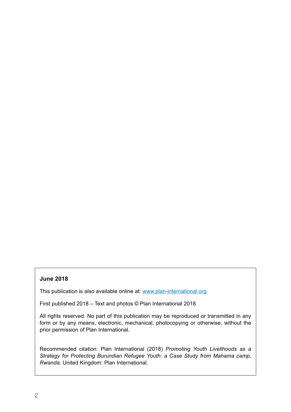# **June 2018**

This publication is also available online at: www.plan-international.org

First published 2018 – Text and photos © Plan International 2018

All rights reserved. No part of this publication may be reproduced or transmitted in any form or by any means, electronic, mechanical, photocopying or otherwise, without the prior permission of Plan International.

Recommended citation: Plan International (2018) *Promoting Youth Livelihoods as a Strategy for Protecting Burundian Refugee Youth: a Case Study from Mahama camp, Rwanda,* United Kingdom: Plan International.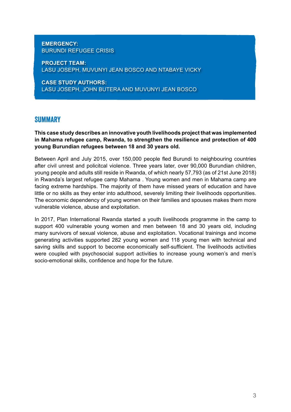## **EMERGENCY:**  BURUNDI REFUGEE CRISIS

**PROJECT TEAM:**  LASU JOSEPH, MUVUNYI JEAN BOSCO AND NTABAYE VICKY

**CASE STUDY AUTHORS:**  LASU JOSEPH, JOHN BUTERA AND MUVUNYI JEAN BOSCO

# **SUMMARY**

**This case study describes an innovative youth livelihoods project that was implemented in Mahama refugee camp, Rwanda, to strengthen the resilience and protection of 400 young Burundian refugees between 18 and 30 years old.**

Between April and July 2015, over 150,000 people fled Burundi to neighbouring countries after civil unrest and policitcal violence. Three years later, over 90,000 Burundian children, young people and adults still reside in Rwanda, of which nearly 57,793 (as of 21st June 2018) in Rwanda's largest refugee camp Mahama . Young women and men in Mahama camp are facing extreme hardships. The majority of them have missed years of education and have little or no skills as they enter into adulthood, severely limiting their livelihoods opportunities. The economic dependency of young women on their families and spouses makes them more vulnerable violence, abuse and exploitation.

In 2017, Plan International Rwanda started a youth livelihoods programme in the camp to support 400 vulnerable young women and men between 18 and 30 years old, including many survivors of sexual violence, abuse and exploitation. Vocational trainings and income generating activities supported 282 young women and 118 young men with technical and saving skills and support to become economically self-sufficient. The livelihoods activities were coupled with psychosocial support activities to increase young women's and men's socio-emotional skills, confidence and hope for the future.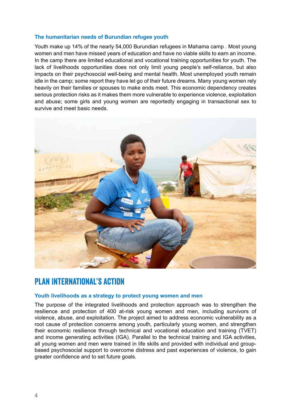#### **The humanitarian needs of Burundian refugee youth**

Youth make up 14% of the nearly 54,000 Burundian refugees in Mahama camp . Most young women and men have missed years of education and have no viable skills to earn an income. In the camp there are limited educational and vocational training opportunities for youth. The lack of livelihoods opportunities does not only limit young people's self-reliance, but also impacts on their psychosocial well-being and mental health. Most unemployed youth remain idle in the camp; some report they have let go of their future dreams. Many young women rely heavily on their families or spouses to make ends meet. This economic dependency creates serious protection risks as it makes them more vulnerable to experience violence, exploitation and abuse; some girls and young women are reportedly engaging in transactional sex to survive and meet basic needs.



# Plan International's Action

#### **Youth livelihoods as a strategy to protect young women and men**

The purpose of the integrated livelihoods and protection approach was to strengthen the resilience and protection of 400 at-risk young women and men, including survivors of violence, abuse, and exploitation. The project aimed to address economic vulnerability as a root cause of protection concerns among youth, particularly young women, and strengthen their economic resilience through technical and vocational education and training (TVET) and income generating activities (IGA). Parallel to the technical training and IGA activities, all young women and men were trained in life skills and provided with individual and groupbased psychosocial support to overcome distress and past experiences of violence, to gain greater confidence and to set future goals.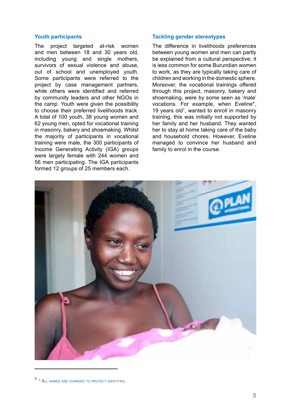#### **Youth participants**

The project targeted at-risk women and men between 18 and 30 years old, including young and single mothers, survivors of sexual violence and abuse, out of school and unemployed youth. Some participants were referred to the project by case management partners, while others were identified and referred by community leaders and other NGOs in the camp. Youth were given the possibility to choose their preferred livelihoods track. A total of 100 youth, 38 young women and 62 young men, opted for vocational training in masonry, bakery and shoemaking. Whilst the majority of participants in vocational training were male, the 300 participants of Income Generating Activity (IGA) groups were largely female with 244 women and 56 men participating. The IGA participants formed 12 groups of 25 members each.

#### **Tackling gender stereotypes**

The difference in livelihoods preferences between young women and men can partly be explained from a cultural perspective; it is less common for some Burundian women to work, as they are typically taking care of children and working in the domestic sphere. Moreover, the vocational trainings offered through this project, masonry, bakery and shoemaking, were by some seen as 'male' vocations. For example, when Eveline\*, 19 years old<sup>1</sup>, wanted to enroll in masonry training, this was initially not supported by her family and her husband. They wanted her to stay at home taking care of the baby and household chores. However, Eveline managed to convince her husband and family to enrol in the course.



<sup>1</sup> \* All names are changed to protect identities.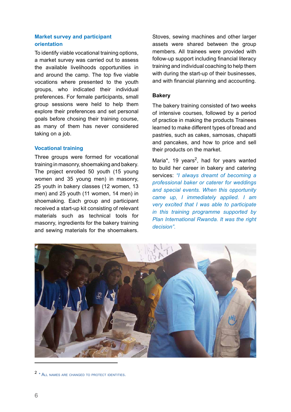## **Market survey and participant orientation**

To identify viable vocational training options, a market survey was carried out to assess the available livelihoods opportunities in and around the camp. The top five viable vocations where presented to the youth groups, who indicated their individual preferences. For female participants, small group sessions were held to help them explore their preferences and set personal goals before chosing their training course, as many of them has never considered taking on a job.

#### **Vocational training**

Three groups were formed for vocational training in masonry, shoemaking and bakery. The project enrolled 50 youth (15 young women and 35 young men) in masonry, 25 youth in bakery classes (12 women, 13 men) and 25 youth (11 women, 14 men) in shoemaking. Each group and participant received a start-up kit consisting of relevant materials such as technical tools for masonry, ingredients for the bakery training and sewing materials for the shoemakers. Stoves, sewing machines and other larger assets were shared between the group members. All trainees were provided with follow-up support including financial literacy training and individual coaching to help them with during the start-up of their businesses. and with financial planning and accounting.

#### **Bakery**

The bakery training consisted of two weeks of intensive courses, followed by a period of practice in making the products Trainees learned to make different types of bread and pastries, such as cakes, samosas, chapatti and pancakes, and how to price and sell their products on the market.

Maria\*, 19 years<sup>2</sup>, had for years wanted to build her career in bakery and catering services: *"I always dreamt of becoming a professional baker or caterer for weddings and special events. When this opportunity came up, I immediately applied. I am very excited that I was able to participate in this training programme supported by Plan International Rwanda. It was the right decision".*



<sup>2</sup> \* All names are changed to protect identities.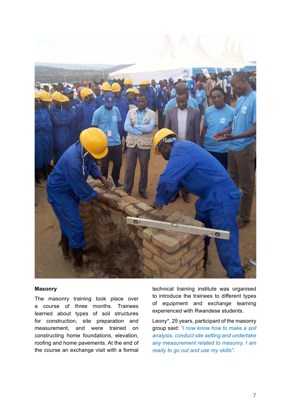

#### **Masonry**

The masonry training took place over a course of three months. Trainees learned about types of soil structures for construction, site preparation and measurement, and were trained on constructing home foundations, elevation, roofing and home pavements. At the end of the course an exchange visit with a formal technical training institute was organised to introduce the trainees to different types of equipment and exchange learning experienced with Rwandese students.

Leony\*, 25 years, participant of the masonry group said: *"I now know how to make a soil analysis, conduct site setting and undertake any measurement related to masonry. I am ready to go out and use my skills".*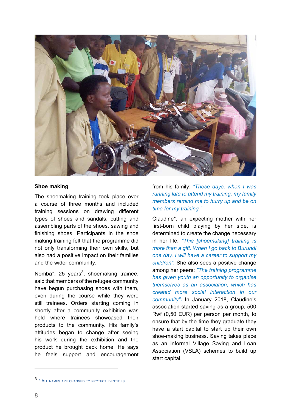

#### **Shoe making**

The shoemaking training took place over a course of three months and included training sessions on drawing different types of shoes and sandals, cutting and assembling parts of the shoes, sawing and finishing shoes. Participants in the shoe making training felt that the programme did not only transforming their own skills, but also had a positive impact on their families and the wider community.

Nomba\*, 25 years<sup>3</sup>, shoemaking trainee, said that members of the refugee community have begun purchasing shoes with them, even during the course while they were still trainees. Orders starting coming in shortly after a community exhibition was held where trainees showcased their products to the community. His family's attitudes began to change after seeing his work during the exhibition and the product he brought back home. He says he feels support and encouragement

from his family: *"These days, when I was running late to attend my training, my family members remind me to hurry up and be on time for my training."* 

Claudine\*, an expecting mother with her first-born child playing by her side, is determined to create the change necessary in her life: *"This [shoemaking] training is more than a gift. When I go back to Burundi one day, I will have a career to support my children".* She also sees a positive change among her peers: *"The training programme has given youth an opportunity to organise themselves as an association, which has created more social interaction in our community"***.** In January 2018, Claudine's association started saving as a group, 500 Rwf (0,50 EUR) per person per month, to ensure that by the time they graduate they have a start capital to start up their own shoe-making business. Saving takes place as an informal Village Saving and Loan Association (VSLA) schemes to build up start capital.

<sup>3</sup> \* All names are changed to protect identities.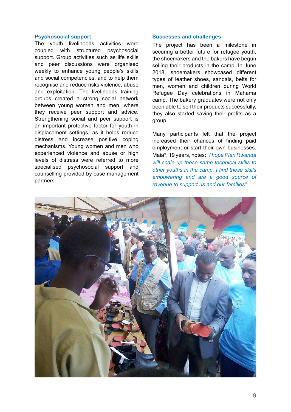#### **Psychosocial support**

The youth livelihoods activities were coupled with structured psychosocial support. Group activities such as life skills and peer discussions were organised weekly to enhance young people's skills and social competencies, and to help them recognise and reduce risks violence, abuse and exploitation. The livelihoods training groups created a strong social network between young women and men, where they receive peer support and advice. Strengthening social and peer support is an important protective factor for youth in displacement settings, as it helps reduce distress and increase positive coping mechanisms. Young women and men who experienced violence and abuse or high levels of distress were referred to more specialised psychosocial support and counselling provided by case management partners.

#### **Successes and challenges**

The project has been a milestone in securing a better future for refugee youth; the shoemakers and the bakers have begun selling their products in the camp. In June 2018, shoemakers showcased different types of leather shoes, sandals, belts for men, women and children during World Refugee Day celebrations in Mahama camp. The bakery graduates were not only been able to sell their products successfully, they also started saving their profits as a group.

Many participants felt that the project increased their chances of finding paid employment or start their own businesses. Maia\*, 19 years, notes: *"I hope Plan Rwanda will scale up these same technical skills to other youths in the camp. I find these skills empowering and are a good source of revenue to support us and our families".*

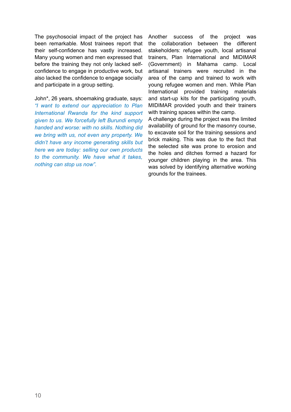The psychosocial impact of the project has been remarkable. Most trainees report that their self-confidence has vastly increased. Many young women and men expressed that before the training they not only lacked selfconfidence to engage in productive work, but also lacked the confidence to engage socially and participate in a group setting.

John\*, 26 years, shoemaking graduate, says: *"I want to extend our appreciation to Plan International Rwanda for the kind support given to us. We forcefully left Burundi empty handed and worse: with no skills. Nothing did we bring with us, not even any property. We didn't have any income generating skills but here we are today: selling our own products to the community. We have what it takes, nothing can stop us now".*

Another success of the project was the collaboration between the different stakeholders: refugee youth, local artisanal trainers, Plan International and MIDIMAR (Government) in Mahama camp. Local artisanal trainers were recruited in the area of the camp and trained to work with young refugee women and men. While Plan International provided training materials and start-up kits for the participating youth, MIDIMAR provided youth and their trainers with training spaces within the camp.

A challenge during the project was the limited availability of ground for the masonry course, to excavate soil for the training sessions and brick making. This was due to the fact that the selected site was prone to erosion and the holes and ditches formed a hazard for younger children playing in the area. This was solved by identifying alternative working grounds for the trainees.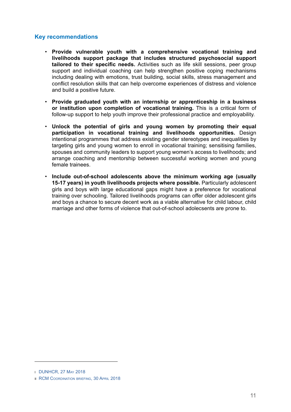## **Key recommendations**

- **Provide vulnerable youth with a comprehensive vocational training and livelihoods support package that includes structured psychosocial support tailored** to their specific needs. Activities such as life skill sessions, peer group support and individual coaching can help strengthen positive coping mechanisms including dealing with emotions, trust building, social skills, stress management and conflict resolution skills that can help overcome experiences of distress and violence and build a positive future.
- **Provide graduated youth with an internship or apprenticeship in a business or institution upon completion of vocational training.** This is a critical form of follow-up support to help youth improve their professional practice and employability.
- **Unlock the potential of girls and young women by promoting their equal participation in vocational training and livelihoods opportunities.** Design intentional programmes that address existing gender stereotypes and inequalities by targeting girls and young women to enroll in vocational training; sensitising families, spouses and community leaders to support young women's access to livelihoods; and arrange coaching and mentorship between successful working women and young female trainees.
- **Include out-of-school adolescents above the minimum working age (usually 15-17 years) in youth livelihoods projects where possible.** Particularly adolescent girls and boys with large educational gaps might have a preference for vocational training over schooling. Tailored livelihoods programs can offer older adolescent girls and boys a chance to secure decent work as a viable alternative for child labour, child marriage and other forms of violence that out-of-school adolecsents are prone to.

i DUNHCR, 27 May 2018

II RCM COORDINATION BRIEFING, 30 APRIL 2018